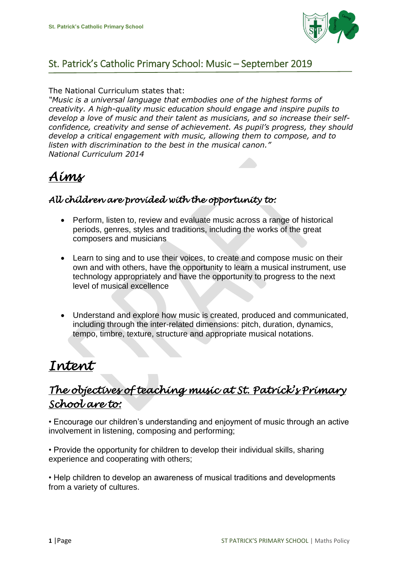

### St. Patrick's Catholic Primary School: Music – September 2019

#### The National Curriculum states that:

*"Music is a universal language that embodies one of the highest forms of creativity. A high-quality music education should engage and inspire pupils to develop a love of music and their talent as musicians, and so increase their selfconfidence, creativity and sense of achievement. As pupil's progress, they should develop a critical engagement with music, allowing them to compose, and to listen with discrimination to the best in the musical canon." National Curriculum 2014*

# *Aims*

### *All children are provided with the opportunity to:*

- Perform, listen to, review and evaluate music across a range of historical periods, genres, styles and traditions, including the works of the great composers and musicians
- Learn to sing and to use their voices, to create and compose music on their own and with others, have the opportunity to learn a musical instrument, use technology appropriately and have the opportunity to progress to the next level of musical excellence
- Understand and explore how music is created, produced and communicated, including through the inter-related dimensions: pitch, duration, dynamics, tempo, timbre, texture, structure and appropriate musical notations.

# *Intent*

### *The objectives of teaching music at St. Patrick's Primary School are to:*

• Encourage our children's understanding and enjoyment of music through an active involvement in listening, composing and performing;

• Provide the opportunity for children to develop their individual skills, sharing experience and cooperating with others;

• Help children to develop an awareness of musical traditions and developments from a variety of cultures.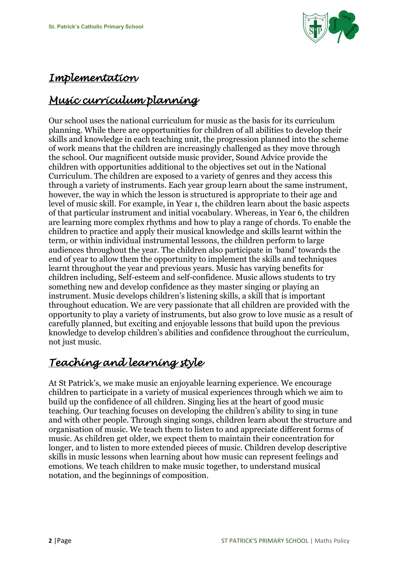

### *Implementation*

# *Music curriculum planning*

Our school uses the national curriculum for music as the basis for its curriculum planning. While there are opportunities for children of all abilities to develop their skills and knowledge in each teaching unit, the progression planned into the scheme of work means that the children are increasingly challenged as they move through the school. Our magnificent outside music provider, Sound Advice provide the children with opportunities additional to the objectives set out in the National Curriculum. The children are exposed to a variety of genres and they access this through a variety of instruments. Each year group learn about the same instrument, however, the way in which the lesson is structured is appropriate to their age and level of music skill. For example, in Year 1, the children learn about the basic aspects of that particular instrument and initial vocabulary. Whereas, in Year 6, the children are learning more complex rhythms and how to play a range of chords. To enable the children to practice and apply their musical knowledge and skills learnt within the term, or within individual instrumental lessons, the children perform to large audiences throughout the year. The children also participate in 'band' towards the end of year to allow them the opportunity to implement the skills and techniques learnt throughout the year and previous years. Music has varying benefits for children including, Self-esteem and self-confidence. Music allows students to try something new and develop confidence as they master singing or playing an instrument. Music develops children's listening skills, a skill that is important throughout education. We are very passionate that all children are provided with the opportunity to play a variety of instruments, but also grow to love music as a result of carefully planned, but exciting and enjoyable lessons that build upon the previous knowledge to develop children's abilities and confidence throughout the curriculum, not just music.

## *Teaching and learning style*

At St Patrick's, we make music an enjoyable learning experience. We encourage children to participate in a variety of musical experiences through which we aim to build up the confidence of all children. Singing lies at the heart of good music teaching. Our teaching focuses on developing the children's ability to sing in tune and with other people. Through singing songs, children learn about the structure and organisation of music. We teach them to listen to and appreciate different forms of music. As children get older, we expect them to maintain their concentration for longer, and to listen to more extended pieces of music. Children develop descriptive skills in music lessons when learning about how music can represent feelings and emotions. We teach children to make music together, to understand musical notation, and the beginnings of composition.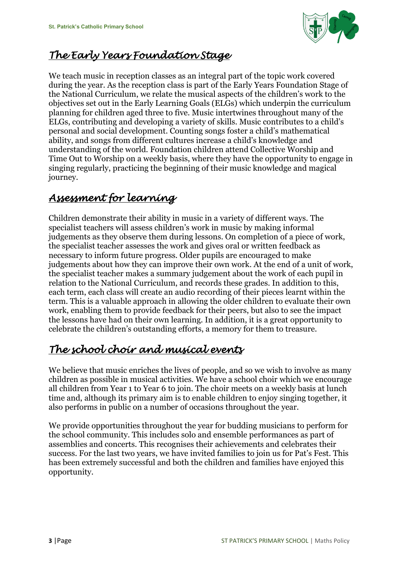

### *The Early Years Foundation Stage*

We teach music in reception classes as an integral part of the topic work covered during the year. As the reception class is part of the Early Years Foundation Stage of the National Curriculum, we relate the musical aspects of the children's work to the objectives set out in the Early Learning Goals (ELGs) which underpin the curriculum planning for children aged three to five. Music intertwines throughout many of the ELGs, contributing and developing a variety of skills. Music contributes to a child's personal and social development. Counting songs foster a child's mathematical ability, and songs from different cultures increase a child's knowledge and understanding of the world. Foundation children attend Collective Worship and Time Out to Worship on a weekly basis, where they have the opportunity to engage in singing regularly, practicing the beginning of their music knowledge and magical journey.

### *Assessment for learning*

Children demonstrate their ability in music in a variety of different ways. The specialist teachers will assess children's work in music by making informal judgements as they observe them during lessons. On completion of a piece of work, the specialist teacher assesses the work and gives oral or written feedback as necessary to inform future progress. Older pupils are encouraged to make judgements about how they can improve their own work. At the end of a unit of work, the specialist teacher makes a summary judgement about the work of each pupil in relation to the National Curriculum, and records these grades. In addition to this, each term, each class will create an audio recording of their pieces learnt within the term. This is a valuable approach in allowing the older children to evaluate their own work, enabling them to provide feedback for their peers, but also to see the impact the lessons have had on their own learning. In addition, it is a great opportunity to celebrate the children's outstanding efforts, a memory for them to treasure.

### *The school choir and musical events*

We believe that music enriches the lives of people, and so we wish to involve as many children as possible in musical activities. We have a school choir which we encourage all children from Year 1 to Year 6 to join. The choir meets on a weekly basis at lunch time and, although its primary aim is to enable children to enjoy singing together, it also performs in public on a number of occasions throughout the year.

We provide opportunities throughout the year for budding musicians to perform for the school community. This includes solo and ensemble performances as part of assemblies and concerts. This recognises their achievements and celebrates their success. For the last two years, we have invited families to join us for Pat's Fest. This has been extremely successful and both the children and families have enjoyed this opportunity.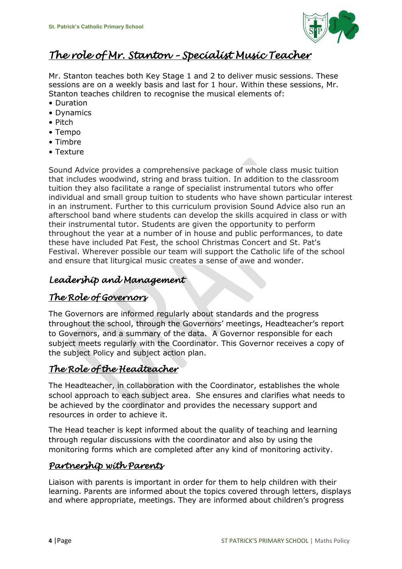

### *The role of Mr. Stanton – Specialist Music Teacher*

Mr. Stanton teaches both Key Stage 1 and 2 to deliver music sessions. These sessions are on a weekly basis and last for 1 hour. Within these sessions, Mr. Stanton teaches children to recognise the musical elements of:

- Duration
- Dynamics
- Pitch
- Tempo
- Timbre
- Texture

Sound Advice provides a comprehensive package of whole class music tuition that includes woodwind, string and brass tuition. In addition to the classroom tuition they also facilitate a range of specialist instrumental tutors who offer individual and small group tuition to students who have shown particular interest in an instrument. Further to this curriculum provision Sound Advice also run an afterschool band where students can develop the skills acquired in class or with their instrumental tutor. Students are given the opportunity to perform throughout the year at a number of in house and public performances, to date these have included Pat Fest, the school Christmas Concert and St. Pat's Festival. Wherever possible our team will support the Catholic life of the school and ensure that liturgical music creates a sense of awe and wonder.

#### *Leadership and Management*

#### *The Role of Governors*

The Governors are informed regularly about standards and the progress throughout the school, through the Governors' meetings, Headteacher's report to Governors, and a summary of the data. A Governor responsible for each subject meets regularly with the Coordinator. This Governor receives a copy of the subject Policy and subject action plan.

### *The Role of the Headteacher*

The Headteacher, in collaboration with the Coordinator, establishes the whole school approach to each subject area. She ensures and clarifies what needs to be achieved by the coordinator and provides the necessary support and resources in order to achieve it.

The Head teacher is kept informed about the quality of teaching and learning through regular discussions with the coordinator and also by using the monitoring forms which are completed after any kind of monitoring activity.

#### *Partnership with Parents*

Liaison with parents is important in order for them to help children with their learning. Parents are informed about the topics covered through letters, displays and where appropriate, meetings. They are informed about children's progress